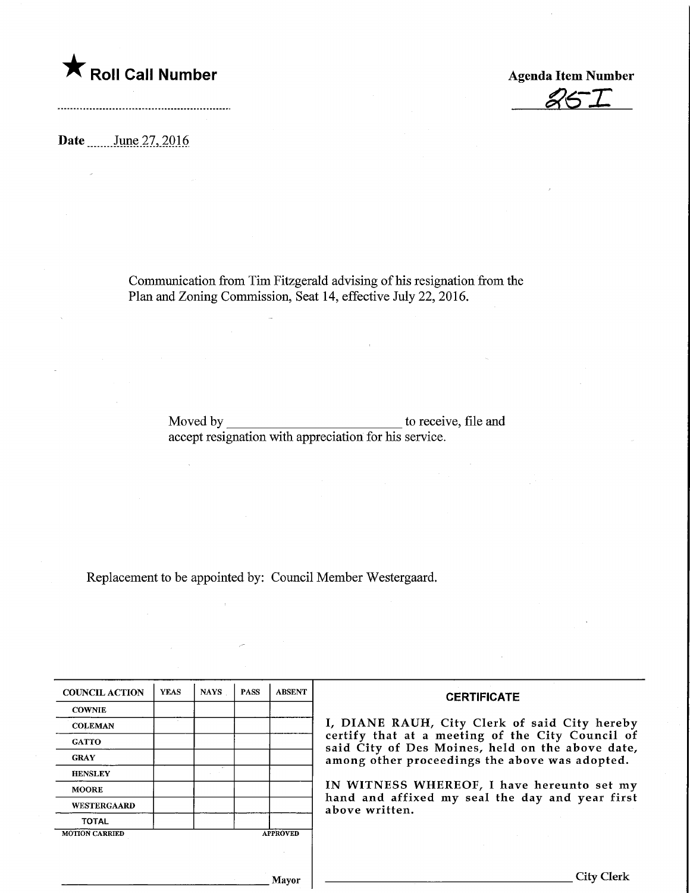

**Agenda Item Number** 

Date \_\_\_\_\_\_\_ June 27, 2016

Communication from Tim Fitzgerald advising of his resignation from the Plan and Zoning Commission, Seat 14, effective July 22, 2016.

> Moved by to receive, file and accept resignation with appreciation for his service.

Replacement to be appointed by: Council Member Westergaard.

 $\hat{\mathcal{A}}$ 

| <b>COUNCIL ACTION</b> | <b>YEAS</b> | <b>NAYS</b> | <b>PASS</b> | <b>ABSENT</b>   | <b>CERTIFICATE</b>                                                                                   |
|-----------------------|-------------|-------------|-------------|-----------------|------------------------------------------------------------------------------------------------------|
| <b>COWNIE</b>         |             |             |             |                 |                                                                                                      |
| <b>COLEMAN</b>        |             |             |             |                 | I, DIANE RAUH, City Clerk of said City hereby                                                        |
| <b>GATTO</b>          |             |             |             |                 | certify that at a meeting of the City Council of<br>said City of Des Moines, held on the above date, |
| <b>GRAY</b>           |             |             |             |                 | among other proceedings the above was adopted.                                                       |
| <b>HENSLEY</b>        |             |             |             |                 |                                                                                                      |
| <b>MOORE</b>          |             |             |             |                 | IN WITNESS WHEREOF, I have hereunto set my                                                           |
| <b>WESTERGAARD</b>    |             |             |             |                 | hand and affixed my seal the day and year first<br>above written.                                    |
| <b>TOTAL</b>          |             |             |             |                 |                                                                                                      |
| <b>MOTION CARRIED</b> |             |             |             | <b>APPROVED</b> |                                                                                                      |
|                       |             |             |             |                 |                                                                                                      |
|                       |             |             |             |                 |                                                                                                      |
|                       |             |             |             | <b>Mayor</b>    | City Clerk                                                                                           |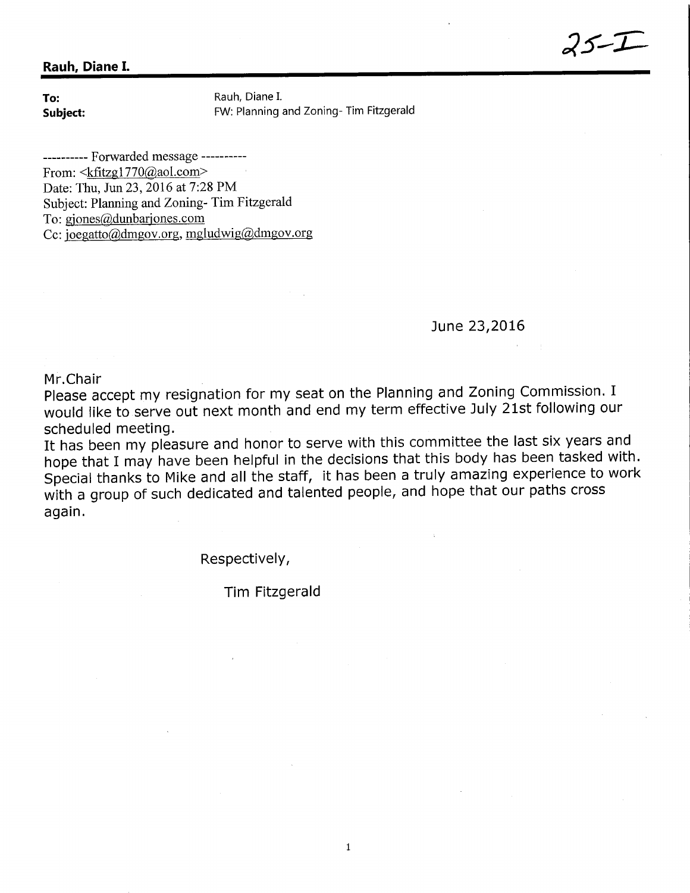## Rauh, Diane I.

**To:** Rauh, Diane I.<br> **Subject:** Subject: FW: Planning FW: Planning and Zoning- Tim Fitzgerald

---------- Forwarded message ----------From:  $\langle k \text{fitzg1770} \langle \omega \text{aol.com} \rangle$ Date: Thu, Jun 23, 2016 at 7:28 PM Subject: Planning and Zoning- Tim Fitzgerald To: giones@dunbariones.com Cc:  $\overline{\text{loegatto}(\text{admgov.org, mgludwig}(\text{admgov.org})}$ 

June 23,2016

Mr.Chair

Please accept my resignation for my seat on the Planning and Zoning Commission. I would like to serve out next month and end my term effective July 21st following our scheduled meeting.

It has been my pleasure and honor to serve with this committee the last six years and hope that I may have been helpful in the decisions that this body has been tasked with. Special thanks to Mike and all the staff, it has been a truly amazing experience to work with a group of such dedicated and talented people, and hope that our paths cross again.

Respectively,

Tim Fitzgerald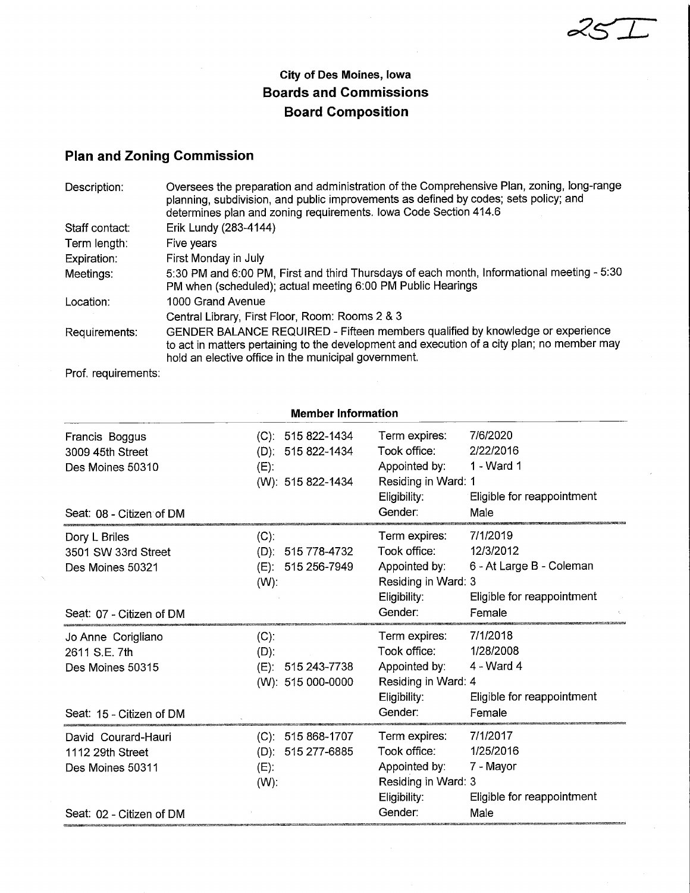$25$  $\pm$ 

## City of Des Moines, Iowa Boards and Commissions Board Composition

## Plan and Zoning Commission

| Description:   | Oversees the preparation and administration of the Comprehensive Plan, zoning, long-range<br>planning, subdivision, and public improvements as defined by codes; sets policy; and<br>determines plan and zoning requirements. Iowa Code Section 414.6 |
|----------------|-------------------------------------------------------------------------------------------------------------------------------------------------------------------------------------------------------------------------------------------------------|
| Staff contact: | Erik Lundy (283-4144)                                                                                                                                                                                                                                 |
| Term length:   | Five years                                                                                                                                                                                                                                            |
| Expiration:    | First Monday in July                                                                                                                                                                                                                                  |
| Meetings:      | 5:30 PM and 6:00 PM, First and third Thursdays of each month, Informational meeting - 5:30<br>PM when (scheduled); actual meeting 6:00 PM Public Hearings                                                                                             |
| Location:      | 1000 Grand Avenue                                                                                                                                                                                                                                     |
|                | Central Library, First Floor, Room: Rooms 2 & 3                                                                                                                                                                                                       |
| Requirements:  | GENDER BALANCE REQUIRED - Fifteen members qualified by knowledge or experience<br>to act in matters pertaining to the development and execution of a city plan; no member may<br>hold an elective office in the municipal government.                 |
|                |                                                                                                                                                                                                                                                       |

Prof. requirements:

|                                      | <b>Member Information</b>    |                                                        |
|--------------------------------------|------------------------------|--------------------------------------------------------|
| Francis Boggus                       | $(C): 515822 - 1434$         | 7/6/2020<br>Term expires:<br>Took office:<br>2/22/2016 |
| 3009 45th Street<br>Des Moines 50310 | (D): 515 822-1434<br>$(E)$ : | 1 - Ward 1<br>Appointed by:                            |
|                                      | (W): 515 822-1434            | Residing in Ward: 1                                    |
|                                      |                              | Eligibility:<br>Eligible for reappointment             |
| Seat: 08 - Citizen of DM             |                              | Gender:<br>Male                                        |
| Dory L Briles                        | $(C)$ :                      | 7/1/2019<br>Term expires:                              |
| 3501 SW 33rd Street                  | (D): 515 778-4732            | Took office:<br>12/3/2012                              |
| Des Moines 50321                     | (E): 515 256-7949            | Appointed by:<br>6 - At Large B - Coleman              |
|                                      | $(W)$ :                      | Residing in Ward: 3                                    |
|                                      |                              | Eligibility:<br>Eligible for reappointment             |
| Seat: 07 - Citizen of DM             |                              | Gender:<br>Female                                      |
| Jo Anne Corigliano                   | $(C)$ :                      | 7/1/2018<br>Term expires:                              |
| 2611 S.E. 7th                        | $(D)$ :                      | Took office:<br>1/28/2008                              |
| Des Moines 50315                     | (E): 515 243-7738            | Appointed by:<br>$4 - Ward 4$                          |
|                                      | (W): 515 000-0000            | Residing in Ward: 4                                    |
|                                      |                              | Eligibility:<br>Eligible for reappointment             |
| Seat: 15 - Citizen of DM             |                              | Gender:<br>Female                                      |
| David Courard-Hauri                  | $(C): 515868-1707$           | 7/1/2017<br>Term expires:                              |
| 1112 29th Street                     | (D): 515 277-6885            | 1/25/2016<br>Took office:                              |
| Des Moines 50311                     | $(E)$ :                      | Appointed by:<br>7 - Mayor                             |
|                                      | $(W)$ :                      | Residing in Ward: 3                                    |
|                                      |                              | Eligible for reappointment<br>Eligibility:             |
| Seat: 02 - Citizen of DM             |                              | Gender:<br>Male                                        |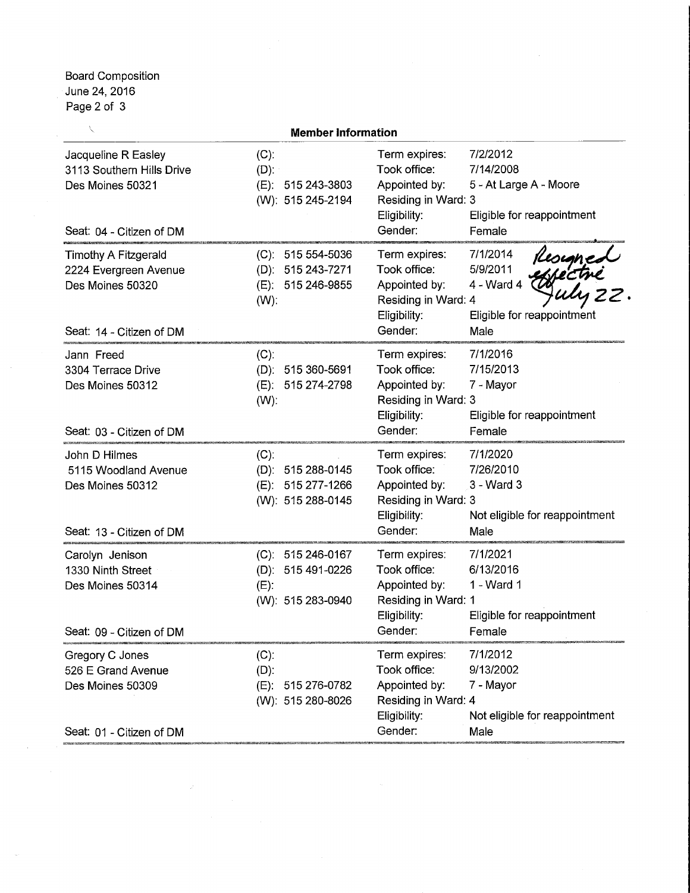Board Composition June 24, 2016 Page 2 of 3

J

|                                                                                                      | <b>Member Information</b>                                              |                                                                                                  |                                                                                                             |
|------------------------------------------------------------------------------------------------------|------------------------------------------------------------------------|--------------------------------------------------------------------------------------------------|-------------------------------------------------------------------------------------------------------------|
| Jacqueline R Easley<br>3113 Southern Hills Drive<br>Des Moines 50321<br>Seat: 04 - Citizen of DM     | $(C)$ :<br>$(D)$ :<br>(E): 515 243-3803<br>(W): 515 245-2194           | Term expires:<br>Took office:<br>Appointed by:<br>Residing in Ward: 3<br>Eligibility:<br>Gender: | 7/2/2012<br>7/14/2008<br>5 - At Large A - Moore<br>Eligible for reappointment<br>Female                     |
| <b>Timothy A Fitzgerald</b><br>2224 Evergreen Avenue<br>Des Moines 50320<br>Seat: 14 - Citizen of DM | $(C): 51554-5036$<br>(D): 515 243-7271<br>(E): 515 246-9855<br>$(W)$ : | Term expires:<br>Took office:<br>Appointed by:<br>Residing in Ward: 4<br>Eligibility:<br>Gender: | 7/1/2014<br>Resigned<br>effectré<br>Culu 22<br>5/9/2011<br>4 - Ward 4<br>Eligible for reappointment<br>Male |
| Jann Freed<br>3304 Terrace Drive<br>Des Moines 50312<br>Seat: 03 - Citizen of DM                     | $(C)$ :<br>(D): 515 360-5691<br>515 274-2798<br>$(E)$ :<br>$(W)$ :     | Term expires:<br>Took office:<br>Appointed by:<br>Residing in Ward: 3<br>Eligibility:<br>Gender: | 7/1/2016<br>7/15/2013<br>7 - Mayor<br>Eligible for reappointment<br>Female                                  |
| John D Hilmes<br>5115 Woodland Avenue<br>Des Moines 50312<br>Seat: 13 - Citizen of DM                | (C).<br>(D): 515 288-0145<br>(E): 515 277-1266<br>(W): 515 288-0145    | Term expires:<br>Took office:<br>Appointed by:<br>Residing in Ward: 3<br>Eligibility:<br>Gender: | 7/1/2020<br>7/26/2010<br>3 - Ward 3<br>Not eligible for reappointment<br>Male                               |
| Carolyn Jenison<br>1330 Ninth Street<br>Des Moines 50314<br>Seat: 09 - Citizen of DM                 | (C): 515 246-0167<br>(D): 515 491-0226<br>$(E)$ :<br>(W): 515 283-0940 | Term expires:<br>Took office:<br>Appointed by:<br>Residing in Ward: 1<br>Eligibility:<br>Gender: | 7/1/2021<br>6/13/2016<br>1 - Ward 1<br>Eligible for reappointment<br>Female                                 |
| Gregory C Jones<br>526 E Grand Avenue<br>Des Moines 50309<br>Seat: 01 - Citizen of DM                | $(C)$ :<br>$(D)$ :<br>515 276-0782<br>(E):<br>(W): 515 280-8026        | Term expires:<br>Took office:<br>Appointed by:<br>Residing in Ward: 4<br>Eligibility:<br>Gender: | 7/1/2012<br>9/13/2002<br>7 - Mayor<br>Not eligible for reappointment<br>Male                                |